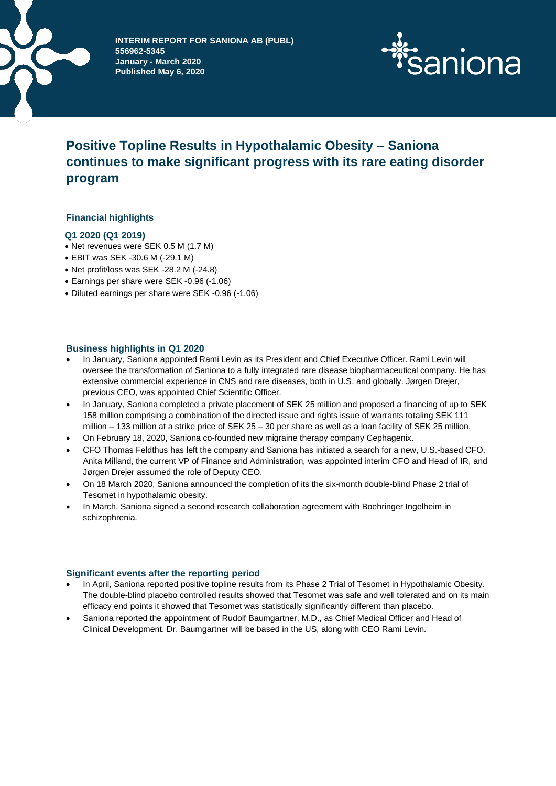



# **Positive Topline Results in Hypothalamic Obesity – Saniona continues to make significant progress with its rare eating disorder program**

# **Financial highlights**

# **Q1 2020 (Q1 2019)**

- Net revenues were SEK 0.5 M (1.7 M)
- EBIT was SEK -30.6 M (-29.1 M)
- Net profit/loss was SEK -28.2 M (-24.8)
- Earnings per share were SEK -0.96 (-1.06)
- Diluted earnings per share were SEK -0.96 (-1.06)

# **Business highlights in Q1 2020**

- In January, Saniona appointed Rami Levin as its President and Chief Executive Officer. Rami Levin will oversee the transformation of Saniona to a fully integrated rare disease biopharmaceutical company. He has extensive commercial experience in CNS and rare diseases, both in U.S. and globally. Jørgen Drejer, previous CEO, was appointed Chief Scientific Officer.
- In January, Saniona completed a private placement of SEK 25 million and proposed a financing of up to SEK 158 million comprising a combination of the directed issue and rights issue of warrants totaling SEK 111 million – 133 million at a strike price of SEK 25 – 30 per share as well as a loan facility of SEK 25 million.
- On February 18, 2020, Saniona co-founded new migraine therapy company Cephagenix.
- CFO Thomas Feldthus has left the company and Saniona has initiated a search for a new, U.S.-based CFO. Anita Milland, the current VP of Finance and Administration, was appointed interim CFO and Head of IR, and Jørgen Drejer assumed the role of Deputy CEO.
- On 18 March 2020, Saniona announced the completion of its the six-month double-blind Phase 2 trial of Tesomet in hypothalamic obesity.
- In March, Saniona signed a second research collaboration agreement with Boehringer Ingelheim in schizophrenia.

# **Significant events after the reporting period**

- In April, Saniona reported positive topline results from its Phase 2 Trial of Tesomet in Hypothalamic Obesity. The double-blind placebo controlled results showed that Tesomet was safe and well tolerated and on its main efficacy end points it showed that Tesomet was statistically significantly different than placebo.
- Saniona reported the appointment of Rudolf Baumgartner, M.D., as Chief Medical Officer and Head of Clinical Development. Dr. Baumgartner will be based in the US, along with CEO Rami Levin.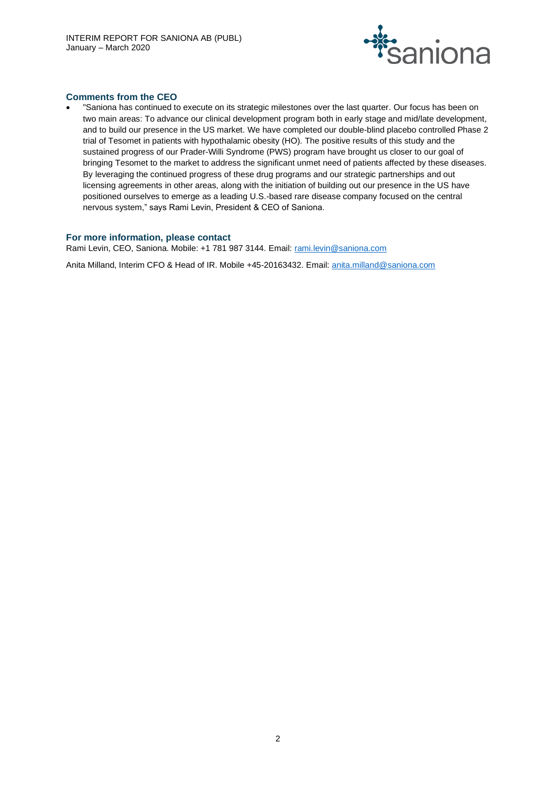

# **Comments from the CEO**

• "Saniona has continued to execute on its strategic milestones over the last quarter. Our focus has been on two main areas: To advance our clinical development program both in early stage and mid/late development, and to build our presence in the US market. We have completed our double-blind placebo controlled Phase 2 trial of Tesomet in patients with hypothalamic obesity (HO). The positive results of this study and the sustained progress of our Prader-Willi Syndrome (PWS) program have brought us closer to our goal of bringing Tesomet to the market to address the significant unmet need of patients affected by these diseases. By leveraging the continued progress of these drug programs and our strategic partnerships and out licensing agreements in other areas, along with the initiation of building out our presence in the US have positioned ourselves to emerge as a leading U.S.-based rare disease company focused on the central nervous system," says Rami Levin, President & CEO of Saniona.

#### **For more information, please contact**

Rami Levin, CEO, Saniona. Mobile: +1 781 987 3144. Email: rami.levin@saniona.com

Anita Milland, Interim CFO & Head of IR. Mobile +45-20163432. Email: [anita.milland@saniona.com](mailto:anita.milland@saniona.com)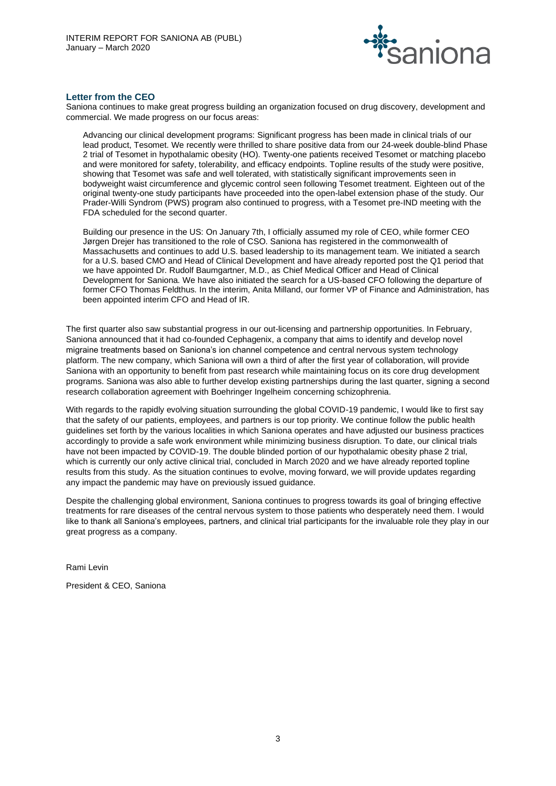

### **Letter from the CEO**

Saniona continues to make great progress building an organization focused on drug discovery, development and commercial. We made progress on our focus areas:

Advancing our clinical development programs: Significant progress has been made in clinical trials of our lead product, Tesomet. We recently were thrilled to share positive data from our 24-week double-blind Phase 2 trial of Tesomet in hypothalamic obesity (HO). Twenty-one patients received Tesomet or matching placebo and were monitored for safety, tolerability, and efficacy endpoints. Topline results of the study were positive, showing that Tesomet was safe and well tolerated, with statistically significant improvements seen in bodyweight waist circumference and glycemic control seen following Tesomet treatment. Eighteen out of the original twenty-one study participants have proceeded into the open-label extension phase of the study. Our Prader-Willi Syndrom (PWS) program also continued to progress, with a Tesomet pre-IND meeting with the FDA scheduled for the second quarter.

Building our presence in the US: On January 7th, I officially assumed my role of CEO, while former CEO Jørgen Drejer has transitioned to the role of CSO. Saniona has registered in the commonwealth of Massachusetts and continues to add U.S. based leadership to its management team. We initiated a search for a U.S. based CMO and Head of Clinical Development and have already reported post the Q1 period that we have appointed Dr. Rudolf Baumgartner, M.D., as Chief Medical Officer and Head of Clinical Development for Saniona. We have also initiated the search for a US-based CFO following the departure of former CFO Thomas Feldthus. In the interim, Anita Milland, our former VP of Finance and Administration, has been appointed interim CFO and Head of IR.

The first quarter also saw substantial progress in our out-licensing and partnership opportunities. In February, Saniona announced that it had co-founded Cephagenix, a company that aims to identify and develop novel migraine treatments based on Saniona's ion channel competence and central nervous system technology platform. The new company, which Saniona will own a third of after the first year of collaboration, will provide Saniona with an opportunity to benefit from past research while maintaining focus on its core drug development programs. Saniona was also able to further develop existing partnerships during the last quarter, signing a second research collaboration agreement with Boehringer Ingelheim concerning schizophrenia.

With regards to the rapidly evolving situation surrounding the global COVID-19 pandemic, I would like to first say that the safety of our patients, employees, and partners is our top priority. We continue follow the public health guidelines set forth by the various localities in which Saniona operates and have adjusted our business practices accordingly to provide a safe work environment while minimizing business disruption. To date, our clinical trials have not been impacted by COVID-19. The double blinded portion of our hypothalamic obesity phase 2 trial, which is currently our only active clinical trial, concluded in March 2020 and we have already reported topline results from this study. As the situation continues to evolve, moving forward, we will provide updates regarding any impact the pandemic may have on previously issued guidance.

Despite the challenging global environment, Saniona continues to progress towards its goal of bringing effective treatments for rare diseases of the central nervous system to those patients who desperately need them. I would like to thank all Saniona's employees, partners, and clinical trial participants for the invaluable role they play in our great progress as a company.

Rami Levin

President & CEO, Saniona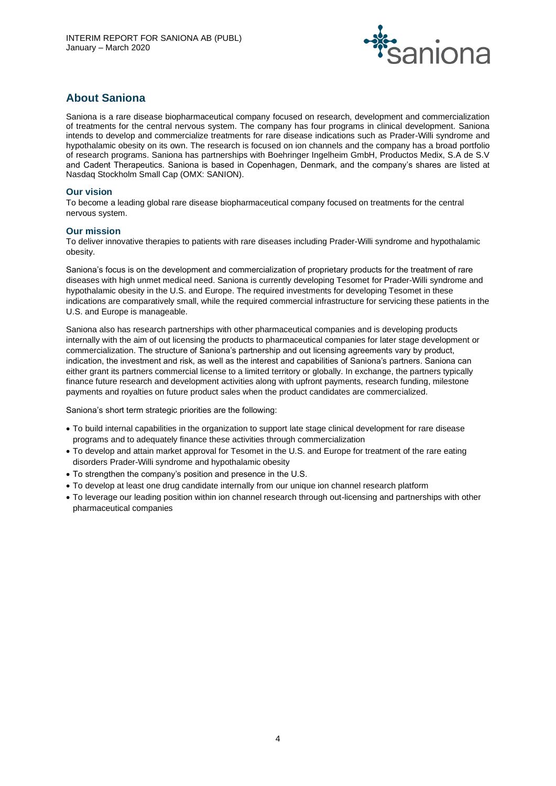

# **About Saniona**

Saniona is a rare disease biopharmaceutical company focused on research, development and commercialization of treatments for the central nervous system. The company has four programs in clinical development. Saniona intends to develop and commercialize treatments for rare disease indications such as Prader-Willi syndrome and hypothalamic obesity on its own. The research is focused on ion channels and the company has a broad portfolio of research programs. Saniona has partnerships with Boehringer Ingelheim GmbH, Productos Medix, S.A de S.V and Cadent Therapeutics. Saniona is based in Copenhagen, Denmark, and the company's shares are listed at Nasdaq Stockholm Small Cap (OMX: SANION).

# **Our vision**

To become a leading global rare disease biopharmaceutical company focused on treatments for the central nervous system.

# **Our mission**

To deliver innovative therapies to patients with rare diseases including Prader-Willi syndrome and hypothalamic obesity.

Saniona's focus is on the development and commercialization of proprietary products for the treatment of rare diseases with high unmet medical need. Saniona is currently developing Tesomet for Prader-Willi syndrome and hypothalamic obesity in the U.S. and Europe. The required investments for developing Tesomet in these indications are comparatively small, while the required commercial infrastructure for servicing these patients in the U.S. and Europe is manageable.

Saniona also has research partnerships with other pharmaceutical companies and is developing products internally with the aim of out licensing the products to pharmaceutical companies for later stage development or commercialization. The structure of Saniona's partnership and out licensing agreements vary by product, indication, the investment and risk, as well as the interest and capabilities of Saniona's partners. Saniona can either grant its partners commercial license to a limited territory or globally. In exchange, the partners typically finance future research and development activities along with upfront payments, research funding, milestone payments and royalties on future product sales when the product candidates are commercialized.

Saniona's short term strategic priorities are the following:

- To build internal capabilities in the organization to support late stage clinical development for rare disease programs and to adequately finance these activities through commercialization
- To develop and attain market approval for Tesomet in the U.S. and Europe for treatment of the rare eating disorders Prader-Willi syndrome and hypothalamic obesity
- To strengthen the company's position and presence in the U.S.
- To develop at least one drug candidate internally from our unique ion channel research platform
- To leverage our leading position within ion channel research through out-licensing and partnerships with other pharmaceutical companies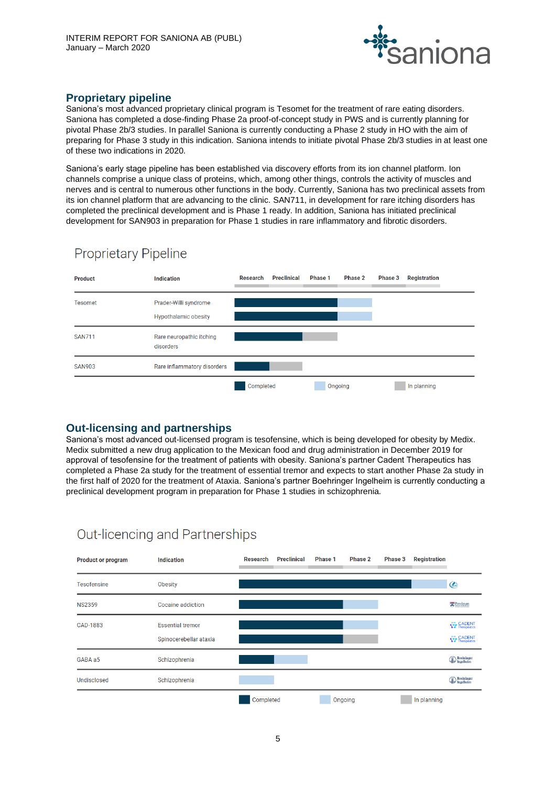

# **Proprietary pipeline**

Saniona's most advanced proprietary clinical program is Tesomet for the treatment of rare eating disorders. Saniona has completed a dose-finding Phase 2a proof-of-concept study in PWS and is currently planning for pivotal Phase 2b/3 studies. In parallel Saniona is currently conducting a Phase 2 study in HO with the aim of preparing for Phase 3 study in this indication. Saniona intends to initiate pivotal Phase 2b/3 studies in at least one of these two indications in 2020.

Saniona's early stage pipeline has been established via discovery efforts from its ion channel platform. Ion channels comprise a unique class of proteins, which, among other things, controls the activity of muscles and nerves and is central to numerous other functions in the body. Currently, Saniona has two preclinical assets from its ion channel platform that are advancing to the clinic. SAN711, in development for rare itching disorders has completed the preclinical development and is Phase 1 ready. In addition, Saniona has initiated preclinical development for SAN903 in preparation for Phase 1 studies in rare inflammatory and fibrotic disorders.



# **Proprietary Pipeline**

# **Out-licensing and partnerships**

Saniona's most advanced out-licensed program is tesofensine, which is being developed for obesity by Medix. Medix submitted a new drug application to the Mexican food and drug administration in December 2019 for approval of tesofensine for the treatment of patients with obesity. Saniona's partner Cadent Therapeutics has completed a Phase 2a study for the treatment of essential tremor and expects to start another Phase 2a study in the first half of 2020 for the treatment of Ataxia. Saniona's partner Boehringer Ingelheim is currently conducting a preclinical development program in preparation for Phase 1 studies in schizophrenia.



# Out-licencing and Partnerships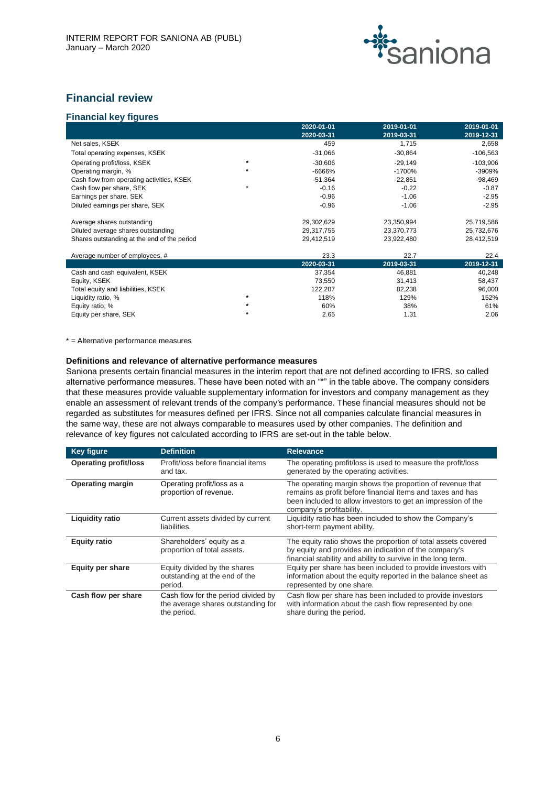

# **Financial review**

# **Financial key figures**

|                                             |         | 2020-01-01 | 2019-01-01 | 2019-01-01 |
|---------------------------------------------|---------|------------|------------|------------|
|                                             |         | 2020-03-31 | 2019-03-31 | 2019-12-31 |
| Net sales, KSEK                             |         | 459        | 1,715      | 2,658      |
| Total operating expenses, KSEK              |         | $-31,066$  | $-30,864$  | $-106,563$ |
| Operating profit/loss, KSEK                 | $\star$ | $-30,606$  | $-29,149$  | $-103,906$ |
| Operating margin, %                         |         | -6666%     | $-1700%$   | $-3909%$   |
| Cash flow from operating activities, KSEK   |         | $-51,364$  | $-22,851$  | $-98,469$  |
| Cash flow per share, SEK                    |         | $-0.16$    | $-0.22$    | $-0.87$    |
| Earnings per share, SEK                     |         | $-0.96$    | $-1.06$    | $-2.95$    |
| Diluted earnings per share, SEK             |         | $-0.96$    | $-1.06$    | $-2.95$    |
| Average shares outstanding                  |         | 29,302,629 | 23,350,994 | 25,719,586 |
| Diluted average shares outstanding          |         | 29,317,755 | 23,370,773 | 25,732,676 |
| Shares outstanding at the end of the period |         | 29,412,519 | 23,922,480 | 28,412,519 |
| Average number of employees, #              |         | 23.3       | 22.7       | 22.4       |
|                                             |         | 2020-03-31 | 2019-03-31 | 2019-12-31 |
| Cash and cash equivalent, KSEK              |         | 37,354     | 46,881     | 40,248     |
| Equity, KSEK                                |         | 73,550     | 31,413     | 58,437     |
| Total equity and liabilities, KSEK          |         | 122,207    | 82,238     | 96,000     |
| Liquidity ratio, %                          | $\ast$  | 118%       | 129%       | 152%       |
| Equity ratio, %                             |         | 60%        | 38%        | 61%        |
| Equity per share, SEK                       |         | 2.65       | 1.31       | 2.06       |

\* = Alternative performance measures

#### **Definitions and relevance of alternative performance measures**

Saniona presents certain financial measures in the interim report that are not defined according to IFRS, so called alternative performance measures. These have been noted with an "\*" in the table above. The company considers that these measures provide valuable supplementary information for investors and company management as they enable an assessment of relevant trends of the company's performance. These financial measures should not be regarded as substitutes for measures defined per IFRS. Since not all companies calculate financial measures in the same way, these are not always comparable to measures used by other companies. The definition and relevance of key figures not calculated according to IFRS are set-out in the table below.

| <b>Key figure</b>            | <b>Definition</b>                                                                        | <b>Relevance</b>                                                                                                                                                                                                    |
|------------------------------|------------------------------------------------------------------------------------------|---------------------------------------------------------------------------------------------------------------------------------------------------------------------------------------------------------------------|
| <b>Operating profit/loss</b> | Profit/loss before financial items<br>and tax.                                           | The operating profit/loss is used to measure the profit/loss<br>generated by the operating activities.                                                                                                              |
| <b>Operating margin</b>      | Operating profit/loss as a<br>proportion of revenue.                                     | The operating margin shows the proportion of revenue that<br>remains as profit before financial items and taxes and has<br>been included to allow investors to get an impression of the<br>company's profitability. |
| <b>Liquidity ratio</b>       | Current assets divided by current<br>liabilities.                                        | Liquidity ratio has been included to show the Company's<br>short-term payment ability.                                                                                                                              |
| <b>Equity ratio</b>          | Shareholders' equity as a<br>proportion of total assets.                                 | The equity ratio shows the proportion of total assets covered<br>by equity and provides an indication of the company's<br>financial stability and ability to survive in the long term.                              |
| <b>Equity per share</b>      | Equity divided by the shares<br>outstanding at the end of the<br>period.                 | Equity per share has been included to provide investors with<br>information about the equity reported in the balance sheet as<br>represented by one share.                                                          |
| Cash flow per share          | Cash flow for the period divided by<br>the average shares outstanding for<br>the period. | Cash flow per share has been included to provide investors<br>with information about the cash flow represented by one<br>share during the period.                                                                   |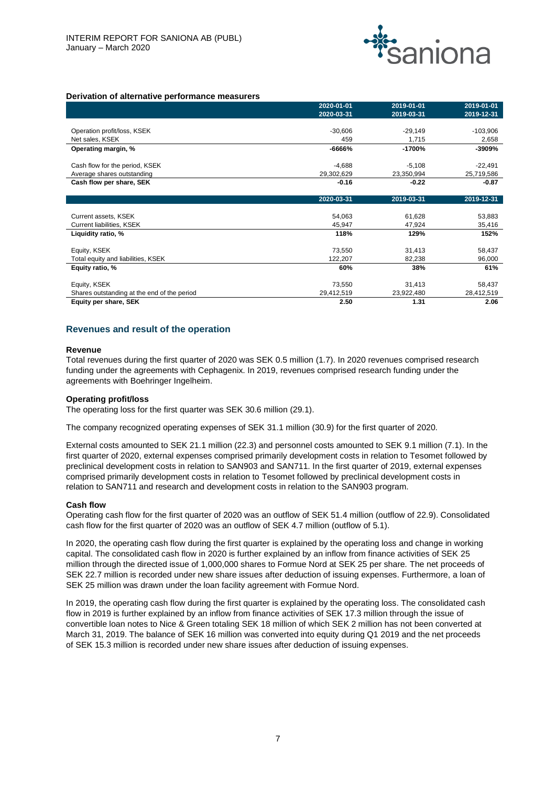

#### **Derivation of alternative performance measurers**

|                                             | 2020-01-01 | 2019-01-01 | 2019-01-01 |
|---------------------------------------------|------------|------------|------------|
|                                             | 2020-03-31 | 2019-03-31 | 2019-12-31 |
| Operation profit/loss, KSEK                 | $-30,606$  | $-29,149$  | $-103,906$ |
| Net sales, KSEK                             | 459        | 1,715      | 2,658      |
| Operating margin, %                         | -6666%     | -1700%     | -3909%     |
| Cash flow for the period, KSEK              | $-4,688$   | $-5,108$   | $-22,491$  |
| Average shares outstanding                  | 29,302,629 | 23,350,994 | 25,719,586 |
| Cash flow per share, SEK                    | $-0.16$    | $-0.22$    | $-0.87$    |
|                                             | 2020-03-31 | 2019-03-31 | 2019-12-31 |
| Current assets, KSEK                        | 54,063     | 61,628     | 53,883     |
| Current liabilities, KSEK                   | 45,947     | 47,924     | 35,416     |
| Liquidity ratio, %                          | 118%       | 129%       | 152%       |
| Equity, KSEK                                | 73,550     | 31,413     | 58,437     |
| Total equity and liabilities, KSEK          | 122,207    | 82,238     | 96,000     |
| Equity ratio, %                             | 60%        | 38%        | 61%        |
| Equity, KSEK                                | 73,550     | 31,413     | 58,437     |
| Shares outstanding at the end of the period | 29,412,519 | 23,922,480 | 28,412,519 |
| Equity per share, SEK                       | 2.50       | 1.31       | 2.06       |

#### **Revenues and result of the operation**

#### **Revenue**

Total revenues during the first quarter of 2020 was SEK 0.5 million (1.7). In 2020 revenues comprised research funding under the agreements with Cephagenix. In 2019, revenues comprised research funding under the agreements with Boehringer Ingelheim.

#### **Operating profit/loss**

The operating loss for the first quarter was SEK 30.6 million (29.1).

The company recognized operating expenses of SEK 31.1 million (30.9) for the first quarter of 2020.

External costs amounted to SEK 21.1 million (22.3) and personnel costs amounted to SEK 9.1 million (7.1). In the first quarter of 2020, external expenses comprised primarily development costs in relation to Tesomet followed by preclinical development costs in relation to SAN903 and SAN711. In the first quarter of 2019, external expenses comprised primarily development costs in relation to Tesomet followed by preclinical development costs in relation to SAN711 and research and development costs in relation to the SAN903 program.

#### **Cash flow**

Operating cash flow for the first quarter of 2020 was an outflow of SEK 51.4 million (outflow of 22.9). Consolidated cash flow for the first quarter of 2020 was an outflow of SEK 4.7 million (outflow of 5.1).

In 2020, the operating cash flow during the first quarter is explained by the operating loss and change in working capital. The consolidated cash flow in 2020 is further explained by an inflow from finance activities of SEK 25 million through the directed issue of 1,000,000 shares to Formue Nord at SEK 25 per share. The net proceeds of SEK 22.7 million is recorded under new share issues after deduction of issuing expenses. Furthermore, a loan of SEK 25 million was drawn under the loan facility agreement with Formue Nord.

In 2019, the operating cash flow during the first quarter is explained by the operating loss. The consolidated cash flow in 2019 is further explained by an inflow from finance activities of SEK 17.3 million through the issue of convertible loan notes to Nice & Green totaling SEK 18 million of which SEK 2 million has not been converted at March 31, 2019. The balance of SEK 16 million was converted into equity during Q1 2019 and the net proceeds of SEK 15.3 million is recorded under new share issues after deduction of issuing expenses.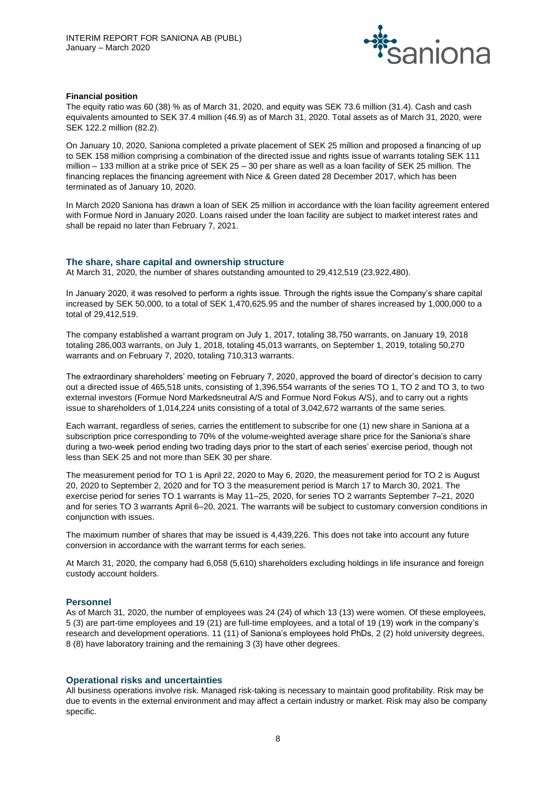

#### **Financial position**

The equity ratio was 60 (38) % as of March 31, 2020, and equity was SEK 73.6 million (31.4). Cash and cash equivalents amounted to SEK 37.4 million (46.9) as of March 31, 2020. Total assets as of March 31, 2020, were SEK 122.2 million (82.2).

On January 10, 2020, Saniona completed a private placement of SEK 25 million and proposed a financing of up to SEK 158 million comprising a combination of the directed issue and rights issue of warrants totaling SEK 111 million – 133 million at a strike price of SEK 25 – 30 per share as well as a loan facility of SEK 25 million. The financing replaces the financing agreement with Nice & Green dated 28 December 2017, which has been terminated as of January 10, 2020.

In March 2020 Saniona has drawn a loan of SEK 25 million in accordance with the loan facility agreement entered with Formue Nord in January 2020. Loans raised under the loan facility are subject to market interest rates and shall be repaid no later than February 7, 2021.

#### **The share, share capital and ownership structure**

At March 31, 2020, the number of shares outstanding amounted to 29,412,519 (23,922,480).

In January 2020, it was resolved to perform a rights issue. Through the rights issue the Company's share capital increased by SEK 50,000, to a total of SEK 1,470,625.95 and the number of shares increased by 1,000,000 to a total of 29,412,519.

The company established a warrant program on July 1, 2017, totaling 38,750 warrants, on January 19, 2018 totaling 286,003 warrants, on July 1, 2018, totaling 45,013 warrants, on September 1, 2019, totaling 50,270 warrants and on February 7, 2020, totaling 710,313 warrants.

The extraordinary shareholders' meeting on February 7, 2020, approved the board of director's decision to carry out a directed issue of 465,518 units, consisting of 1,396,554 warrants of the series TO 1, TO 2 and TO 3, to two external investors (Formue Nord Markedsneutral A/S and Formue Nord Fokus A/S), and to carry out a rights issue to shareholders of 1,014,224 units consisting of a total of 3,042,672 warrants of the same series.

Each warrant, regardless of series, carries the entitlement to subscribe for one (1) new share in Saniona at a subscription price corresponding to 70% of the volume-weighted average share price for the Saniona's share during a two-week period ending two trading days prior to the start of each series' exercise period, though not less than SEK 25 and not more than SEK 30 per share.

The measurement period for TO 1 is April 22, 2020 to May 6, 2020, the measurement period for TO 2 is August 20, 2020 to September 2, 2020 and for TO 3 the measurement period is March 17 to March 30, 2021. The exercise period for series TO 1 warrants is May 11–25, 2020, for series TO 2 warrants September 7–21, 2020 and for series TO 3 warrants April 6–20, 2021. The warrants will be subject to customary conversion conditions in conjunction with issues.

The maximum number of shares that may be issued is 4,439,226. This does not take into account any future conversion in accordance with the warrant terms for each series.

At March 31, 2020, the company had 6,058 (5,610) shareholders excluding holdings in life insurance and foreign custody account holders.

#### **Personnel**

As of March 31, 2020, the number of employees was 24 (24) of which 13 (13) were women. Of these employees, 5 (3) are part-time employees and 19 (21) are full-time employees, and a total of 19 (19) work in the company's research and development operations. 11 (11) of Saniona's employees hold PhDs, 2 (2) hold university degrees, 8 (8) have laboratory training and the remaining 3 (3) have other degrees.

# **Operational risks and uncertainties**

All business operations involve risk. Managed risk-taking is necessary to maintain good profitability. Risk may be due to events in the external environment and may affect a certain industry or market. Risk may also be company specific.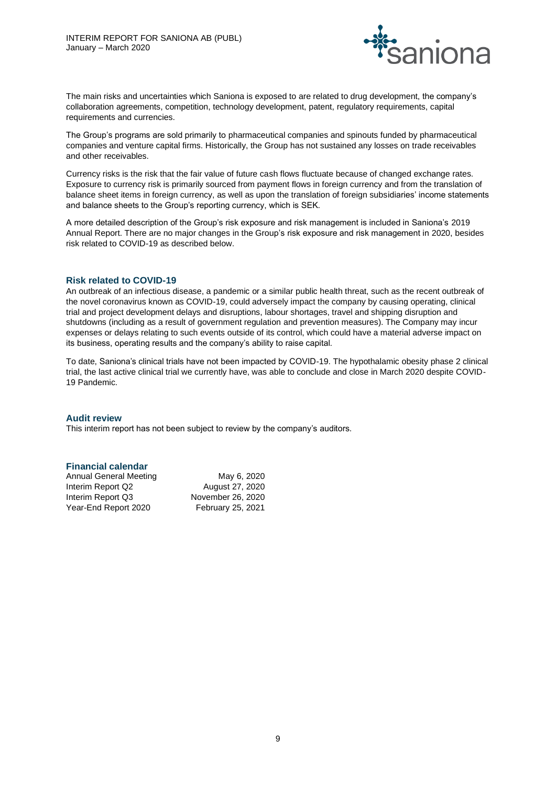

The main risks and uncertainties which Saniona is exposed to are related to drug development, the company's collaboration agreements, competition, technology development, patent, regulatory requirements, capital requirements and currencies.

The Group's programs are sold primarily to pharmaceutical companies and spinouts funded by pharmaceutical companies and venture capital firms. Historically, the Group has not sustained any losses on trade receivables and other receivables.

Currency risks is the risk that the fair value of future cash flows fluctuate because of changed exchange rates. Exposure to currency risk is primarily sourced from payment flows in foreign currency and from the translation of balance sheet items in foreign currency, as well as upon the translation of foreign subsidiaries' income statements and balance sheets to the Group's reporting currency, which is SEK.

A more detailed description of the Group's risk exposure and risk management is included in Saniona's 2019 Annual Report. There are no major changes in the Group's risk exposure and risk management in 2020, besides risk related to COVID-19 as described below.

# **Risk related to COVID-19**

An outbreak of an infectious disease, a pandemic or a similar public health threat, such as the recent outbreak of the novel coronavirus known as COVID-19, could adversely impact the company by causing operating, clinical trial and project development delays and disruptions, labour shortages, travel and shipping disruption and shutdowns (including as a result of government regulation and prevention measures). The Company may incur expenses or delays relating to such events outside of its control, which could have a material adverse impact on its business, operating results and the company's ability to raise capital.

To date, Saniona's clinical trials have not been impacted by COVID-19. The hypothalamic obesity phase 2 clinical trial, the last active clinical trial we currently have, was able to conclude and close in March 2020 despite COVID-19 Pandemic.

# **Audit review**

This interim report has not been subject to review by the company's auditors.

# **Financial calendar**

| Annual General Meeting | May 6, 2020       |
|------------------------|-------------------|
| Interim Report Q2      | August 27, 2020   |
| Interim Report Q3      | November 26, 2020 |
| Year-End Report 2020   | February 25, 2021 |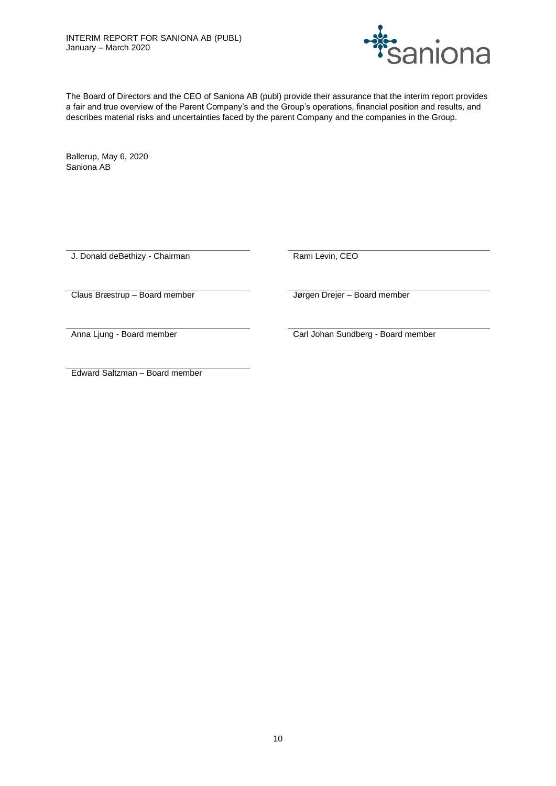

The Board of Directors and the CEO of Saniona AB (publ) provide their assurance that the interim report provides a fair and true overview of the Parent Company's and the Group's operations, financial position and results, and describes material risks and uncertainties faced by the parent Company and the companies in the Group.

Ballerup, May 6, 2020 Saniona AB

J. Donald deBethizy - Chairman Rami Levin, CEO

Claus Bræstrup – Board member Jørgen Drejer – Board member

Anna Ljung - Board member **Carl Johan Sundberg - Board member** 

Edward Saltzman – Board member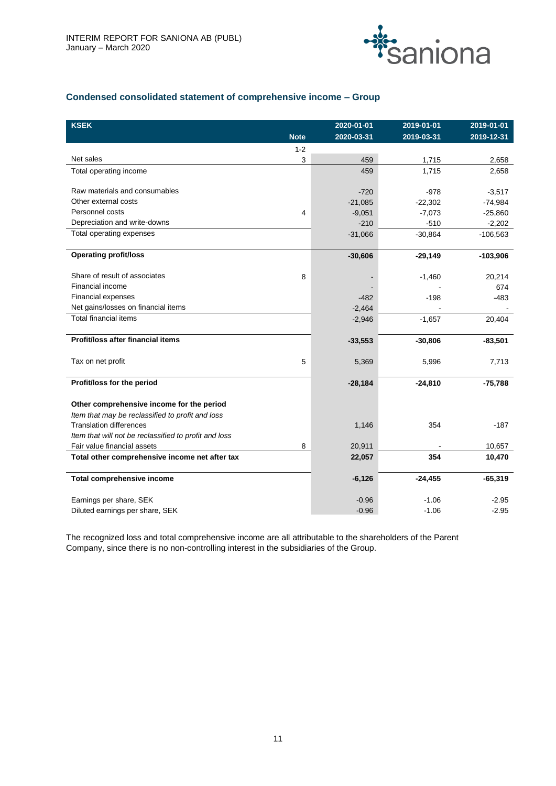

# **Condensed consolidated statement of comprehensive income – Group**

| <b>KSEK</b>                                           |             | 2020-01-01 | 2019-01-01 | 2019-01-01 |
|-------------------------------------------------------|-------------|------------|------------|------------|
|                                                       | <b>Note</b> | 2020-03-31 | 2019-03-31 | 2019-12-31 |
|                                                       | $1 - 2$     |            |            |            |
| Net sales                                             | 3           | 459        | 1,715      | 2,658      |
| Total operating income                                |             | 459        | 1,715      | 2,658      |
|                                                       |             |            |            |            |
| Raw materials and consumables                         |             | $-720$     | $-978$     | $-3,517$   |
| Other external costs                                  |             | $-21,085$  | $-22,302$  | $-74,984$  |
| Personnel costs                                       | 4           | $-9,051$   | $-7,073$   | $-25,860$  |
| Depreciation and write-downs                          |             | $-210$     | $-510$     | $-2,202$   |
| Total operating expenses                              |             | $-31,066$  | $-30,864$  | $-106,563$ |
|                                                       |             |            |            |            |
| <b>Operating profit/loss</b>                          |             | $-30,606$  | $-29,149$  | $-103,906$ |
| Share of result of associates                         | 8           |            | $-1,460$   | 20,214     |
| Financial income                                      |             |            |            | 674        |
| Financial expenses                                    |             | $-482$     | $-198$     | $-483$     |
| Net gains/losses on financial items                   |             |            |            |            |
| <b>Total financial items</b>                          |             | $-2,464$   | $-1,657$   | 20,404     |
|                                                       |             | $-2,946$   |            |            |
| Profit/loss after financial items                     |             | $-33,553$  | $-30,806$  | $-83,501$  |
|                                                       |             |            |            |            |
| Tax on net profit                                     | 5           | 5,369      | 5,996      | 7,713      |
|                                                       |             |            |            |            |
| Profit/loss for the period                            |             | $-28,184$  | $-24,810$  | $-75,788$  |
| Other comprehensive income for the period             |             |            |            |            |
| Item that may be reclassified to profit and loss      |             |            |            |            |
| <b>Translation differences</b>                        |             | 1,146      | 354        | $-187$     |
| Item that will not be reclassified to profit and loss |             |            |            |            |
| Fair value financial assets                           | 8           | 20,911     |            | 10,657     |
| Total other comprehensive income net after tax        |             | 22,057     | 354        | 10,470     |
|                                                       |             |            |            |            |
| Total comprehensive income                            |             | $-6,126$   | $-24,455$  | $-65,319$  |
| Earnings per share, SEK                               |             | $-0.96$    | $-1.06$    | $-2.95$    |
| Diluted earnings per share, SEK                       |             | $-0.96$    | $-1.06$    | $-2.95$    |
|                                                       |             |            |            |            |

The recognized loss and total comprehensive income are all attributable to the shareholders of the Parent Company, since there is no non-controlling interest in the subsidiaries of the Group.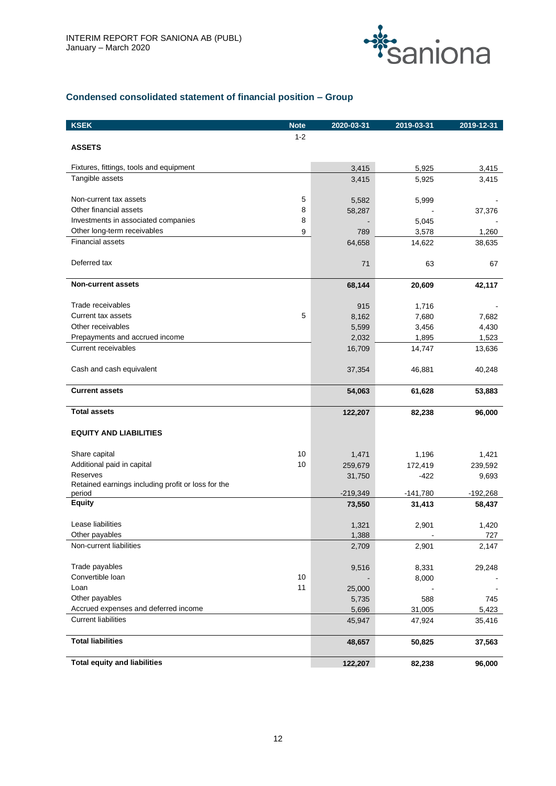

# **Condensed consolidated statement of financial position – Group**

| <b>KSEK</b>                                                  | <b>Note</b> | 2020-03-31      | 2019-03-31 | 2019-12-31 |
|--------------------------------------------------------------|-------------|-----------------|------------|------------|
|                                                              | $1 - 2$     |                 |            |            |
| <b>ASSETS</b>                                                |             |                 |            |            |
|                                                              |             |                 |            |            |
| Fixtures, fittings, tools and equipment                      |             | 3,415           | 5,925      | 3,415      |
| Tangible assets                                              |             | 3,415           | 5,925      | 3,415      |
| Non-current tax assets                                       | $\mathbf 5$ |                 |            |            |
| Other financial assets                                       | 8           | 5,582<br>58,287 | 5,999      | 37,376     |
| Investments in associated companies                          | 8           |                 | 5,045      |            |
| Other long-term receivables                                  | 9           | 789             | 3,578      | 1,260      |
| <b>Financial assets</b>                                      |             | 64,658          | 14,622     | 38,635     |
|                                                              |             |                 |            |            |
| Deferred tax                                                 |             | 71              | 63         | 67         |
| <b>Non-current assets</b>                                    |             | 68,144          | 20,609     | 42,117     |
|                                                              |             |                 |            |            |
| Trade receivables                                            |             | 915             | 1,716      |            |
| Current tax assets                                           | 5           | 8,162           | 7,680      | 7,682      |
| Other receivables                                            |             | 5,599           | 3,456      | 4,430      |
| Prepayments and accrued income                               |             | 2,032           | 1,895      | 1,523      |
| <b>Current receivables</b>                                   |             | 16,709          | 14,747     | 13,636     |
| Cash and cash equivalent                                     |             | 37,354          | 46,881     | 40,248     |
|                                                              |             |                 |            |            |
| <b>Current assets</b>                                        |             | 54,063          | 61,628     | 53,883     |
| <b>Total assets</b>                                          |             | 122,207         | 82,238     | 96,000     |
| <b>EQUITY AND LIABILITIES</b>                                |             |                 |            |            |
|                                                              |             |                 |            |            |
| Share capital                                                | 10          | 1,471           | 1,196      | 1,421      |
| Additional paid in capital                                   | 10          | 259,679         | 172,419    | 239,592    |
| Reserves                                                     |             | 31,750          | $-422$     | 9,693      |
| Retained earnings including profit or loss for the<br>period |             | $-219,349$      | $-141,780$ | $-192,268$ |
| <b>Equity</b>                                                |             | 73,550          | 31,413     | 58,437     |
|                                                              |             |                 |            |            |
| Lease liabilities                                            |             | 1,321           | 2,901      | 1,420      |
| Other payables                                               |             | 1,388           |            | 727        |
| Non-current liabilities                                      |             | 2,709           | 2,901      | 2,147      |
| Trade payables                                               |             | 9,516           | 8,331      | 29,248     |
| Convertible Ioan                                             | 10          |                 | 8,000      |            |
| Loan                                                         | 11          | 25,000          |            |            |
| Other payables                                               |             | 5,735           | 588        | 745        |
| Accrued expenses and deferred income                         |             | 5,696           | 31,005     | 5,423      |
| <b>Current liabilities</b>                                   |             | 45,947          | 47,924     | 35,416     |
| <b>Total liabilities</b>                                     |             | 48,657          | 50,825     | 37,563     |
|                                                              |             |                 |            |            |
| <b>Total equity and liabilities</b>                          |             | 122,207         | 82,238     | 96,000     |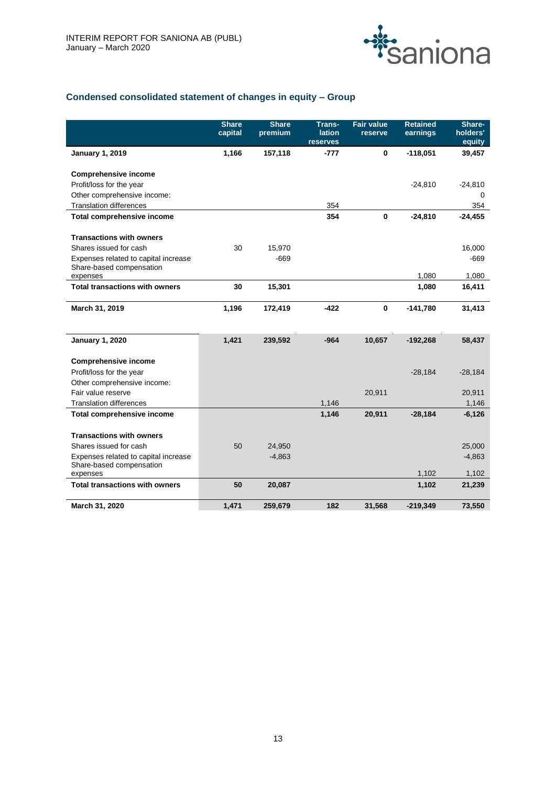

# **Condensed consolidated statement of changes in equity – Group**

|                                                                  | <b>Share</b><br>capital | <b>Share</b><br>premium | Trans-<br><b>lation</b><br>reserves | <b>Fair value</b><br>reserve | <b>Retained</b><br>earnings | Share-<br>holders'<br>equity |
|------------------------------------------------------------------|-------------------------|-------------------------|-------------------------------------|------------------------------|-----------------------------|------------------------------|
| <b>January 1, 2019</b>                                           | 1,166                   | 157,118                 | $-777$                              | $\mathbf 0$                  | $-118,051$                  | 39,457                       |
| <b>Comprehensive income</b>                                      |                         |                         |                                     |                              |                             |                              |
| Profit/loss for the year                                         |                         |                         |                                     |                              | $-24,810$                   | $-24,810$                    |
| Other comprehensive income:                                      |                         |                         |                                     |                              |                             | $\Omega$                     |
| <b>Translation differences</b>                                   |                         |                         | 354                                 |                              |                             | 354                          |
| <b>Total comprehensive income</b>                                |                         |                         | 354                                 | $\mathbf 0$                  | $-24,810$                   | $-24,455$                    |
| <b>Transactions with owners</b>                                  |                         |                         |                                     |                              |                             |                              |
| Shares issued for cash                                           | 30                      | 15,970                  |                                     |                              |                             | 16,000                       |
| Expenses related to capital increase<br>Share-based compensation |                         | $-669$                  |                                     |                              |                             | $-669$                       |
| expenses                                                         |                         |                         |                                     |                              | 1,080                       | 1,080                        |
| <b>Total transactions with owners</b>                            | 30                      | 15,301                  |                                     |                              | 1,080                       | 16,411                       |
| March 31, 2019                                                   | 1,196                   | 172,419                 | -422                                | $\mathbf 0$                  | $-141,780$                  | 31,413                       |
| <b>January 1, 2020</b>                                           | 1,421                   | 239,592                 | $-964$                              | 10,657                       | $-192,268$                  | 58,437                       |
| <b>Comprehensive income</b>                                      |                         |                         |                                     |                              |                             |                              |
| Profit/loss for the year                                         |                         |                         |                                     |                              | $-28,184$                   | $-28,184$                    |
| Other comprehensive income:                                      |                         |                         |                                     |                              |                             |                              |
| Fair value reserve                                               |                         |                         |                                     | 20,911                       |                             | 20,911                       |
| <b>Translation differences</b>                                   |                         |                         | 1,146                               |                              |                             | 1,146                        |
| <b>Total comprehensive income</b>                                |                         |                         | 1,146                               | 20,911                       | $-28,184$                   | $-6,126$                     |
| <b>Transactions with owners</b>                                  |                         |                         |                                     |                              |                             |                              |
| Shares issued for cash                                           | 50                      | 24,950                  |                                     |                              |                             | 25,000                       |
| Expenses related to capital increase                             |                         | $-4,863$                |                                     |                              |                             | $-4,863$                     |
| Share-based compensation<br>expenses                             |                         |                         |                                     |                              | 1,102                       | 1,102                        |
| <b>Total transactions with owners</b>                            | 50                      | 20,087                  |                                     |                              | 1,102                       | 21,239                       |
| March 31, 2020                                                   | 1,471                   | 259,679                 | 182                                 | 31,568                       | $-219,349$                  | 73,550                       |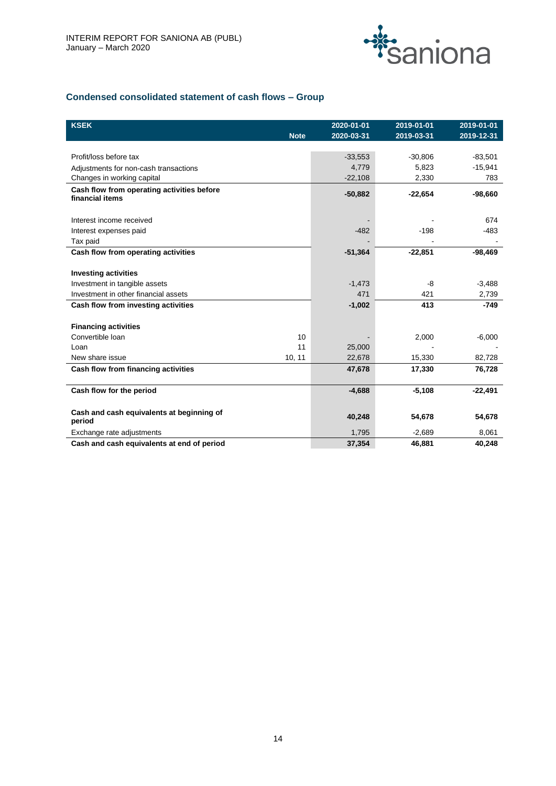

# **Condensed consolidated statement of cash flows – Group**

| <b>KSEK</b>                                |             | 2020-01-01 | 2019-01-01 | 2019-01-01 |
|--------------------------------------------|-------------|------------|------------|------------|
|                                            | <b>Note</b> | 2020-03-31 | 2019-03-31 | 2019-12-31 |
|                                            |             |            |            |            |
| Profit/loss before tax                     |             | $-33,553$  | $-30,806$  | $-83,501$  |
| Adjustments for non-cash transactions      |             | 4.779      | 5,823      | $-15,941$  |
| Changes in working capital                 |             | $-22,108$  | 2,330      | 783        |
| Cash flow from operating activities before |             | $-50,882$  | $-22,654$  | $-98,660$  |
| financial items                            |             |            |            |            |
|                                            |             |            |            |            |
| Interest income received                   |             |            |            | 674        |
| Interest expenses paid                     |             | $-482$     | $-198$     | $-483$     |
| Tax paid                                   |             |            |            |            |
| Cash flow from operating activities        |             | $-51,364$  | $-22,851$  | $-98,469$  |
|                                            |             |            |            |            |
| <b>Investing activities</b>                |             |            |            |            |
| Investment in tangible assets              |             | $-1,473$   | -8         | $-3,488$   |
| Investment in other financial assets       |             | 471        | 421        | 2,739      |
| Cash flow from investing activities        |             | $-1,002$   | 413        | $-749$     |
|                                            |             |            |            |            |
| <b>Financing activities</b>                |             |            |            |            |
| Convertible Ioan                           | 10          |            | 2,000      | $-6,000$   |
| Loan                                       | 11          | 25,000     |            |            |
| New share issue                            | 10, 11      | 22,678     | 15,330     | 82,728     |
| Cash flow from financing activities        |             | 47,678     | 17,330     | 76,728     |
|                                            |             |            |            |            |
| Cash flow for the period                   |             | $-4,688$   | $-5,108$   | $-22,491$  |
|                                            |             |            |            |            |
| Cash and cash equivalents at beginning of  |             | 40,248     | 54,678     | 54,678     |
| period                                     |             |            |            |            |
| Exchange rate adjustments                  |             | 1,795      | $-2,689$   | 8,061      |
| Cash and cash equivalents at end of period |             | 37,354     | 46,881     | 40,248     |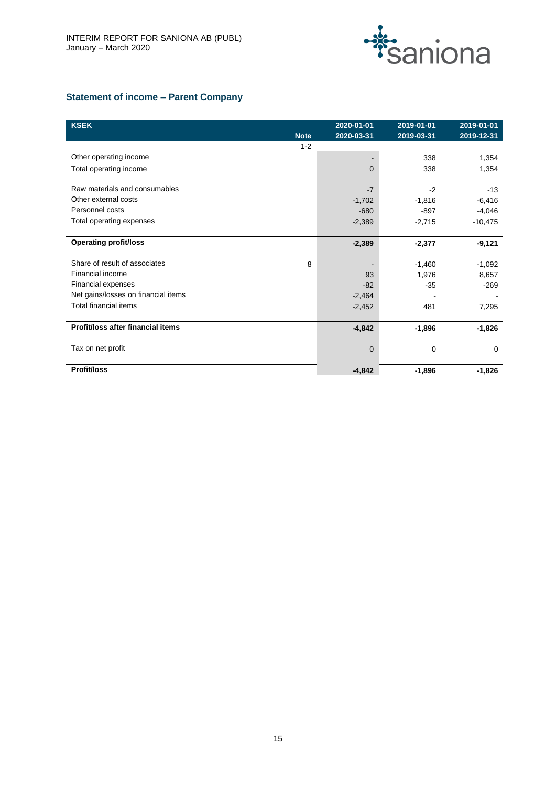

# **Statement of income – Parent Company**

| <b>KSEK</b>                         |             | 2020-01-01               | 2019-01-01 | 2019-01-01 |
|-------------------------------------|-------------|--------------------------|------------|------------|
|                                     | <b>Note</b> | 2020-03-31               | 2019-03-31 | 2019-12-31 |
|                                     | $1 - 2$     |                          |            |            |
| Other operating income              |             | $\overline{\phantom{a}}$ | 338        | 1,354      |
| Total operating income              |             | $\Omega$                 | 338        | 1,354      |
|                                     |             |                          |            |            |
| Raw materials and consumables       |             | $-7$                     | $-2$       | $-13$      |
| Other external costs                |             | $-1,702$                 | $-1,816$   | $-6,416$   |
| Personnel costs                     |             | $-680$                   | $-897$     | $-4,046$   |
| Total operating expenses            |             | $-2,389$                 | $-2,715$   | $-10,475$  |
|                                     |             |                          |            |            |
| <b>Operating profit/loss</b>        |             | $-2,389$                 | $-2,377$   | $-9,121$   |
|                                     |             |                          |            |            |
| Share of result of associates       | 8           |                          | $-1,460$   | $-1,092$   |
| Financial income                    |             | 93                       | 1,976      | 8,657      |
| Financial expenses                  |             | $-82$                    | $-35$      | $-269$     |
| Net gains/losses on financial items |             | $-2,464$                 |            |            |
| <b>Total financial items</b>        |             | $-2,452$                 | 481        | 7,295      |
|                                     |             |                          |            |            |
| Profit/loss after financial items   |             | $-4,842$                 | $-1,896$   | $-1,826$   |
|                                     |             |                          |            |            |
| Tax on net profit                   |             | 0                        | 0          | $\Omega$   |
|                                     |             |                          |            |            |
| <b>Profit/loss</b>                  |             | $-4,842$                 | $-1,896$   | $-1,826$   |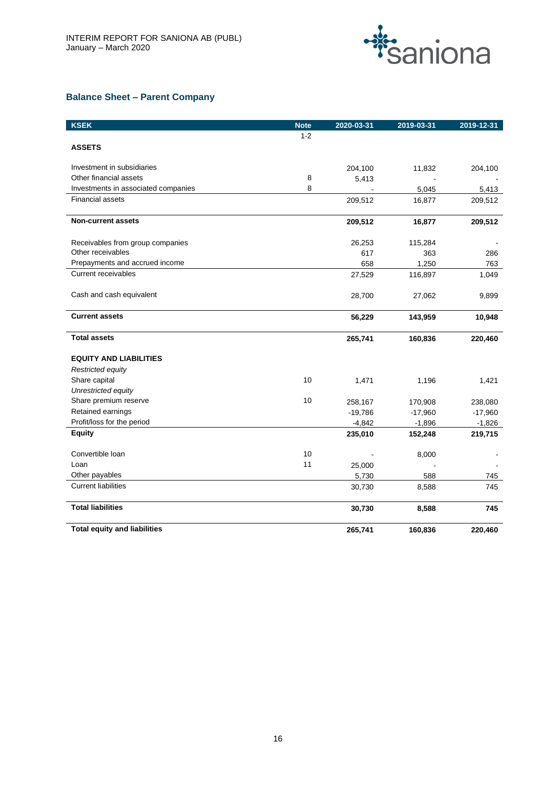

# **Balance Sheet – Parent Company**

| <b>KSEK</b>                         | <b>Note</b> | 2020-03-31 | 2019-03-31 | 2019-12-31 |
|-------------------------------------|-------------|------------|------------|------------|
|                                     | $1 - 2$     |            |            |            |
| <b>ASSETS</b>                       |             |            |            |            |
| Investment in subsidiaries          |             | 204,100    | 11,832     | 204,100    |
| Other financial assets              | 8           | 5,413      |            |            |
| Investments in associated companies | 8           |            | 5,045      | 5,413      |
| <b>Financial assets</b>             |             | 209,512    | 16,877     | 209,512    |
| <b>Non-current assets</b>           |             | 209,512    | 16,877     | 209,512    |
| Receivables from group companies    |             | 26,253     | 115,284    |            |
| Other receivables                   |             | 617        | 363        | 286        |
| Prepayments and accrued income      |             | 658        | 1,250      | 763        |
| <b>Current receivables</b>          |             | 27,529     | 116,897    | 1,049      |
| Cash and cash equivalent            |             | 28,700     | 27,062     | 9,899      |
| <b>Current assets</b>               |             | 56,229     | 143,959    | 10,948     |
| <b>Total assets</b>                 |             | 265,741    | 160,836    | 220,460    |
| <b>EQUITY AND LIABILITIES</b>       |             |            |            |            |
| Restricted equity                   |             |            |            |            |
| Share capital                       | 10          | 1,471      | 1,196      | 1,421      |
| Unrestricted equity                 |             |            |            |            |
| Share premium reserve               | 10          | 258,167    | 170,908    | 238,080    |
| Retained earnings                   |             | $-19,786$  | $-17,960$  | $-17,960$  |
| Profit/loss for the period          |             | $-4,842$   | $-1,896$   | $-1,826$   |
| <b>Equity</b>                       |             | 235,010    | 152,248    | 219,715    |
| Convertible Ioan                    | 10          |            | 8,000      |            |
| Loan                                | 11          | 25,000     |            |            |
| Other payables                      |             | 5,730      | 588        | 745        |
| <b>Current liabilities</b>          |             | 30,730     | 8,588      | 745        |
| <b>Total liabilities</b>            |             | 30,730     | 8,588      | 745        |
| <b>Total equity and liabilities</b> |             | 265,741    | 160,836    | 220,460    |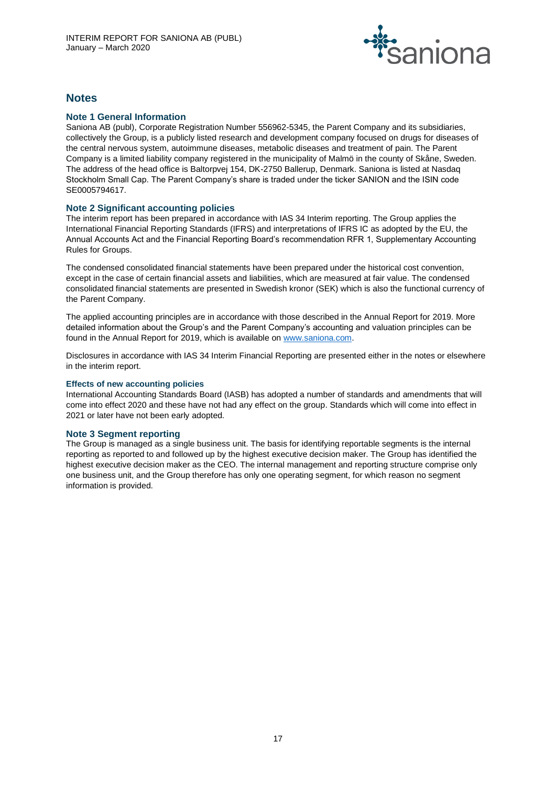

# **Notes**

# **Note 1 General Information**

Saniona AB (publ), Corporate Registration Number 556962-5345, the Parent Company and its subsidiaries, collectively the Group, is a publicly listed research and development company focused on drugs for diseases of the central nervous system, autoimmune diseases, metabolic diseases and treatment of pain. The Parent Company is a limited liability company registered in the municipality of Malmö in the county of Skåne, Sweden. The address of the head office is Baltorpvej 154, DK-2750 Ballerup, Denmark. Saniona is listed at Nasdaq Stockholm Small Cap. The Parent Company's share is traded under the ticker SANION and the ISIN code SE0005794617.

# **Note 2 Significant accounting policies**

The interim report has been prepared in accordance with IAS 34 Interim reporting. The Group applies the International Financial Reporting Standards (IFRS) and interpretations of IFRS IC as adopted by the EU, the Annual Accounts Act and the Financial Reporting Board's recommendation RFR 1, Supplementary Accounting Rules for Groups.

The condensed consolidated financial statements have been prepared under the historical cost convention, except in the case of certain financial assets and liabilities, which are measured at fair value. The condensed consolidated financial statements are presented in Swedish kronor (SEK) which is also the functional currency of the Parent Company.

The applied accounting principles are in accordance with those described in the Annual Report for 2019. More detailed information about the Group's and the Parent Company's accounting and valuation principles can be found in the Annual Report for 2019, which is available o[n www.saniona.com.](http://www.saniona.com/)

Disclosures in accordance with IAS 34 Interim Financial Reporting are presented either in the notes or elsewhere in the interim report.

#### **Effects of new accounting policies**

International Accounting Standards Board (IASB) has adopted a number of standards and amendments that will come into effect 2020 and these have not had any effect on the group. Standards which will come into effect in 2021 or later have not been early adopted.

# **Note 3 Segment reporting**

The Group is managed as a single business unit. The basis for identifying reportable segments is the internal reporting as reported to and followed up by the highest executive decision maker. The Group has identified the highest executive decision maker as the CEO. The internal management and reporting structure comprise only one business unit, and the Group therefore has only one operating segment, for which reason no segment information is provided.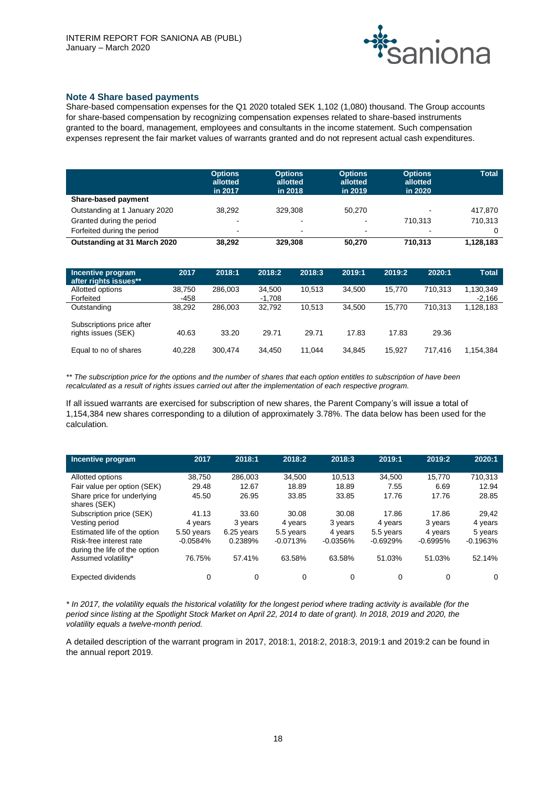

# **Note 4 Share based payments**

Share-based compensation expenses for the Q1 2020 totaled SEK 1,102 (1,080) thousand. The Group accounts for share-based compensation by recognizing compensation expenses related to share-based instruments granted to the board, management, employees and consultants in the income statement. Such compensation expenses represent the fair market values of warrants granted and do not represent actual cash expenditures.

|                               | <b>Options</b><br>allotted<br>in 2017 | <b>Options</b><br>allotted<br>in 2018 | <b>Options</b><br>allotted<br>in 2019 | <b>Options</b><br>allotted<br>in 2020 | <b>Total</b> |
|-------------------------------|---------------------------------------|---------------------------------------|---------------------------------------|---------------------------------------|--------------|
| <b>Share-based payment</b>    |                                       |                                       |                                       |                                       |              |
| Outstanding at 1 January 2020 | 38.292                                | 329.308                               | 50.270                                | ٠                                     | 417,870      |
| Granted during the period     | $\blacksquare$                        | $\blacksquare$                        | $\blacksquare$                        | 710.313                               | 710.313      |
| Forfeited during the period   | $\overline{\phantom{a}}$              | $\blacksquare$                        | $\sim$                                | $\blacksquare$                        |              |
| Outstanding at 31 March 2020  | 38.292                                | 329,308                               | 50,270                                | 710.313                               | 1,128,183    |

| Incentive program<br>after rights issues**       | 2017           | 2018:1  | 2018:2           | 2018:3 | 2019:1 | 2019:2 | 2020:1  | <b>Total</b>          |
|--------------------------------------------------|----------------|---------|------------------|--------|--------|--------|---------|-----------------------|
| Allotted options<br>Forfeited                    | 38.750<br>-458 | 286,003 | 34.500<br>-1,708 | 10.513 | 34.500 | 15.770 | 710.313 | 1,130,349<br>$-2.166$ |
| Outstanding                                      | 38.292         | 286.003 | 32.792           | 10.513 | 34.500 | 15.770 | 710.313 | 1,128,183             |
| Subscriptions price after<br>rights issues (SEK) | 40.63          | 33.20   | 29.71            | 29.71  | 17.83  | 17.83  | 29.36   |                       |
| Equal to no of shares                            | 40.228         | 300.474 | 34.450           | 11.044 | 34.845 | 15.927 | 717.416 | 1,154,384             |

*\*\* The subscription price for the options and the number of shares that each option entitles to subscription of have been recalculated as a result of rights issues carried out after the implementation of each respective program.*

If all issued warrants are exercised for subscription of new shares, the Parent Company's will issue a total of 1,154,384 new shares corresponding to a dilution of approximately 3.78%. The data below has been used for the calculation.

| Incentive program             | 2017       | 2018:1     | 2018:2     | 2018:3     | 2019:1     | 2019:2     | 2020:1     |
|-------------------------------|------------|------------|------------|------------|------------|------------|------------|
|                               |            |            |            |            |            |            |            |
| Allotted options              | 38.750     | 286.003    | 34.500     | 10.513     | 34.500     | 15.770     | 710,313    |
| Fair value per option (SEK)   | 29.48      | 12.67      | 18.89      | 18.89      | 7.55       | 6.69       | 12.94      |
| Share price for underlying    | 45.50      | 26.95      | 33.85      | 33.85      | 17.76      | 17.76      | 28.85      |
| shares (SEK)                  |            |            |            |            |            |            |            |
| Subscription price (SEK)      | 41.13      | 33.60      | 30.08      | 30.08      | 17.86      | 17.86      | 29.42      |
| Vesting period                | 4 years    | 3 years    | 4 years    | 3 years    | 4 years    | 3 years    | 4 years    |
| Estimated life of the option  | 5.50 years | 6.25 years | 5.5 years  | 4 years    | 5.5 years  | 4 years    | 5 years    |
| Risk-free interest rate       | $-0.0584%$ | 0.2389%    | $-0.0713%$ | $-0.0356%$ | $-0.6929%$ | $-0.6995%$ | $-0.1963%$ |
| during the life of the option |            |            |            |            |            |            |            |
| Assumed volatility*           | 76.75%     | 57.41%     | 63.58%     | 63.58%     | 51.03%     | 51.03%     | 52.14%     |
|                               |            |            |            |            |            |            |            |
| <b>Expected dividends</b>     | 0          | 0          | 0          | 0          | 0          | 0          | 0          |

*\* In 2017, the volatility equals the historical volatility for the longest period where trading activity is available (for the period since listing at the Spotlight Stock Market on April 22, 2014 to date of grant). In 2018, 2019 and 2020, the volatility equals a twelve-month period.* 

A detailed description of the warrant program in 2017, 2018:1, 2018:2, 2018:3, 2019:1 and 2019:2 can be found in the annual report 2019.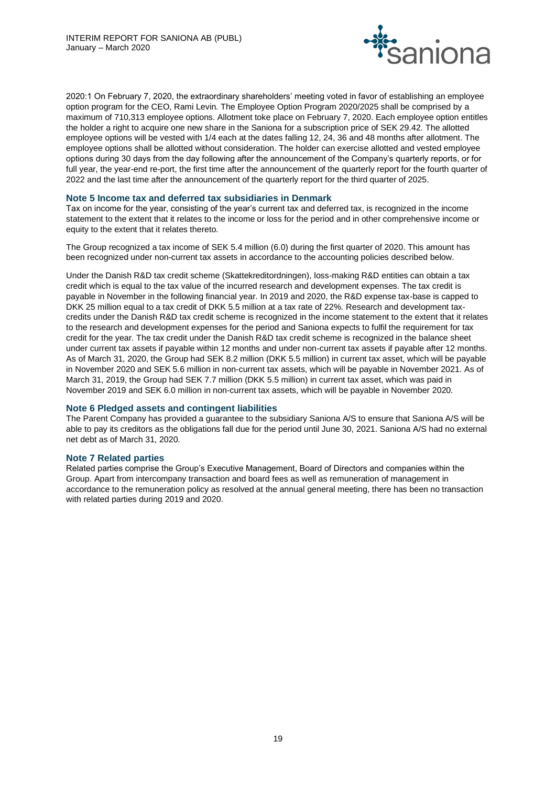

2020:1 On February 7, 2020, the extraordinary shareholders' meeting voted in favor of establishing an employee option program for the CEO, Rami Levin. The Employee Option Program 2020/2025 shall be comprised by a maximum of 710,313 employee options. Allotment toke place on February 7, 2020. Each employee option entitles the holder a right to acquire one new share in the Saniona for a subscription price of SEK 29.42. The allotted employee options will be vested with 1/4 each at the dates falling 12, 24, 36 and 48 months after allotment. The employee options shall be allotted without consideration. The holder can exercise allotted and vested employee options during 30 days from the day following after the announcement of the Company's quarterly reports, or for full year, the year-end re-port, the first time after the announcement of the quarterly report for the fourth quarter of 2022 and the last time after the announcement of the quarterly report for the third quarter of 2025.

#### **Note 5 Income tax and deferred tax subsidiaries in Denmark**

Tax on income for the year, consisting of the year's current tax and deferred tax, is recognized in the income statement to the extent that it relates to the income or loss for the period and in other comprehensive income or equity to the extent that it relates thereto.

The Group recognized a tax income of SEK 5.4 million (6.0) during the first quarter of 2020. This amount has been recognized under non-current tax assets in accordance to the accounting policies described below.

Under the Danish R&D tax credit scheme (Skattekreditordningen), loss-making R&D entities can obtain a tax credit which is equal to the tax value of the incurred research and development expenses. The tax credit is payable in November in the following financial year. In 2019 and 2020, the R&D expense tax-base is capped to DKK 25 million equal to a tax credit of DKK 5.5 million at a tax rate of 22%. Research and development taxcredits under the Danish R&D tax credit scheme is recognized in the income statement to the extent that it relates to the research and development expenses for the period and Saniona expects to fulfil the requirement for tax credit for the year. The tax credit under the Danish R&D tax credit scheme is recognized in the balance sheet under current tax assets if payable within 12 months and under non-current tax assets if payable after 12 months. As of March 31, 2020, the Group had SEK 8.2 million (DKK 5.5 million) in current tax asset, which will be payable in November 2020 and SEK 5.6 million in non-current tax assets, which will be payable in November 2021. As of March 31, 2019, the Group had SEK 7.7 million (DKK 5.5 million) in current tax asset, which was paid in November 2019 and SEK 6.0 million in non-current tax assets, which will be payable in November 2020.

# **Note 6 Pledged assets and contingent liabilities**

The Parent Company has provided a guarantee to the subsidiary Saniona A/S to ensure that Saniona A/S will be able to pay its creditors as the obligations fall due for the period until June 30, 2021. Saniona A/S had no external net debt as of March 31, 2020.

#### **Note 7 Related parties**

Related parties comprise the Group's Executive Management, Board of Directors and companies within the Group. Apart from intercompany transaction and board fees as well as remuneration of management in accordance to the remuneration policy as resolved at the annual general meeting, there has been no transaction with related parties during 2019 and 2020.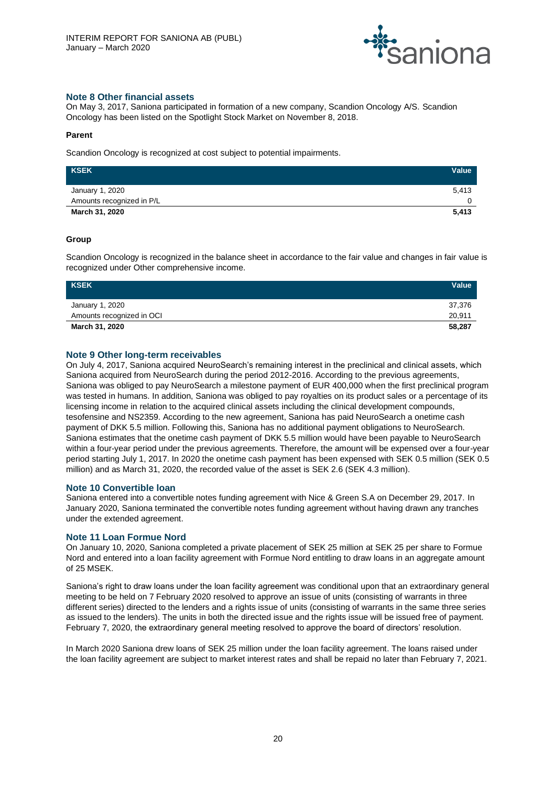

# **Note 8 Other financial assets**

On May 3, 2017, Saniona participated in formation of a new company, Scandion Oncology A/S. Scandion Oncology has been listed on the Spotlight Stock Market on November 8, 2018.

#### **Parent**

Scandion Oncology is recognized at cost subject to potential impairments.

| <b>KSEK</b>               | Value |
|---------------------------|-------|
| January 1, 2020           | 5.413 |
| Amounts recognized in P/L |       |
| March 31, 2020            | 5,413 |

# **Group**

Scandion Oncology is recognized in the balance sheet in accordance to the fair value and changes in fair value is recognized under Other comprehensive income.

| KSEK                      | Value  |
|---------------------------|--------|
| January 1, 2020           | 37.376 |
| Amounts recognized in OCI | 20,911 |
| March 31, 2020            | 58,287 |

# **Note 9 Other long-term receivables**

On July 4, 2017, Saniona acquired NeuroSearch's remaining interest in the preclinical and clinical assets, which Saniona acquired from NeuroSearch during the period 2012-2016. According to the previous agreements, Saniona was obliged to pay NeuroSearch a milestone payment of EUR 400,000 when the first preclinical program was tested in humans. In addition, Saniona was obliged to pay royalties on its product sales or a percentage of its licensing income in relation to the acquired clinical assets including the clinical development compounds, tesofensine and NS2359. According to the new agreement, Saniona has paid NeuroSearch a onetime cash payment of DKK 5.5 million. Following this, Saniona has no additional payment obligations to NeuroSearch. Saniona estimates that the onetime cash payment of DKK 5.5 million would have been payable to NeuroSearch within a four-year period under the previous agreements. Therefore, the amount will be expensed over a four-year period starting July 1, 2017. In 2020 the onetime cash payment has been expensed with SEK 0.5 million (SEK 0.5 million) and as March 31, 2020, the recorded value of the asset is SEK 2.6 (SEK 4.3 million).

#### **Note 10 Convertible loan**

Saniona entered into a convertible notes funding agreement with Nice & Green S.A on December 29, 2017. In January 2020, Saniona terminated the convertible notes funding agreement without having drawn any tranches under the extended agreement.

# **Note 11 Loan Formue Nord**

On January 10, 2020, Saniona completed a private placement of SEK 25 million at SEK 25 per share to Formue Nord and entered into a loan facility agreement with Formue Nord entitling to draw loans in an aggregate amount of 25 MSEK.

Saniona's right to draw loans under the loan facility agreement was conditional upon that an extraordinary general meeting to be held on 7 February 2020 resolved to approve an issue of units (consisting of warrants in three different series) directed to the lenders and a rights issue of units (consisting of warrants in the same three series as issued to the lenders). The units in both the directed issue and the rights issue will be issued free of payment. February 7, 2020, the extraordinary general meeting resolved to approve the board of directors' resolution.

In March 2020 Saniona drew loans of SEK 25 million under the loan facility agreement. The loans raised under the loan facility agreement are subject to market interest rates and shall be repaid no later than February 7, 2021.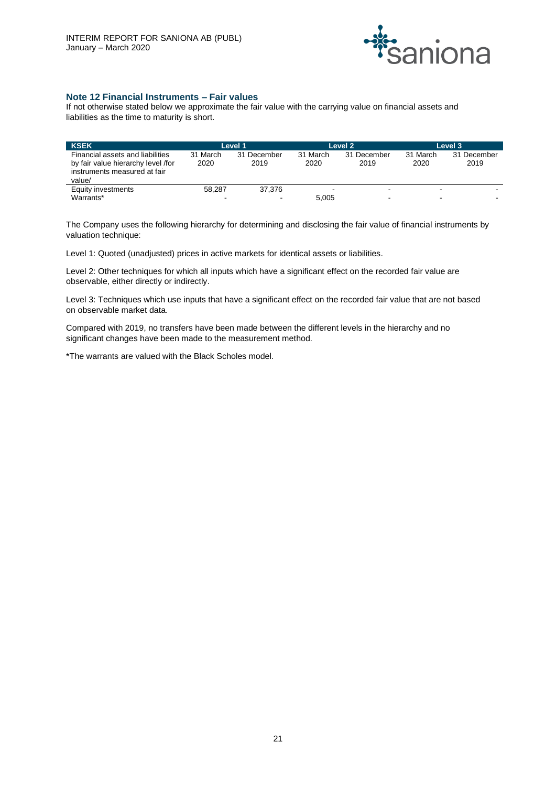

# **Note 12 Financial Instruments – Fair values**

If not otherwise stated below we approximate the fair value with the carrying value on financial assets and liabilities as the time to maturity is short.

| <b>KSEK</b>                        | Level 1  |             | Level 2  |             | Level 3  |             |
|------------------------------------|----------|-------------|----------|-------------|----------|-------------|
| Financial assets and liabilities   | 31 March | 31 December | 31 March | 31 December | 31 March | 31 December |
| by fair value hierarchy level /for | 2020     | 2019        | 2020     | 2019        | 2020     | 2019        |
| instruments measured at fair       |          |             |          |             |          |             |
| value/                             |          |             |          |             |          |             |
| Equity investments                 | 58.287   | 37.376      |          | -           |          |             |
| Warrants*                          | -        |             | 5.005    | -           |          |             |

The Company uses the following hierarchy for determining and disclosing the fair value of financial instruments by valuation technique:

Level 1: Quoted (unadjusted) prices in active markets for identical assets or liabilities.

Level 2: Other techniques for which all inputs which have a significant effect on the recorded fair value are observable, either directly or indirectly.

Level 3: Techniques which use inputs that have a significant effect on the recorded fair value that are not based on observable market data.

Compared with 2019, no transfers have been made between the different levels in the hierarchy and no significant changes have been made to the measurement method.

\*The warrants are valued with the Black Scholes model.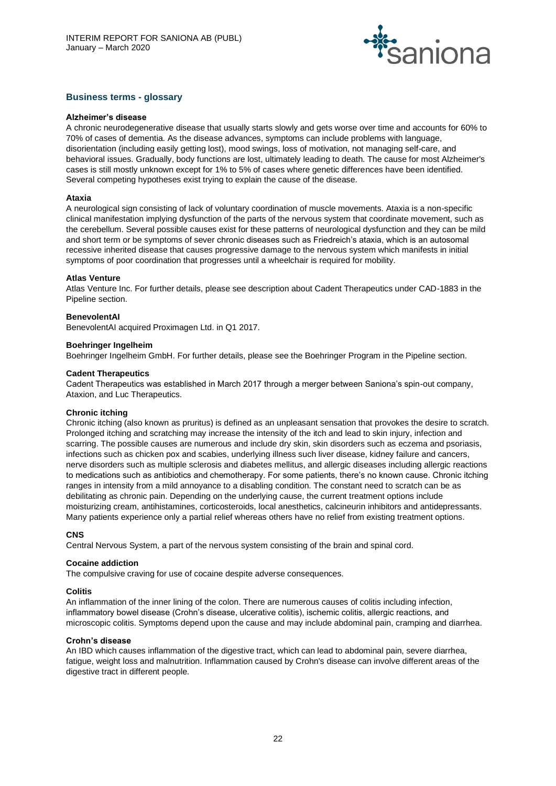

# **Business terms - glossary**

#### **Alzheimer's disease**

A chronic neurodegenerative disease that usually starts slowly and gets worse over time and accounts for 60% to 70% of cases of dementia. As the disease advances, symptoms can include problems with language, disorientation (including easily getting lost), mood swings, loss of motivation, not managing self-care, and behavioral issues. Gradually, body functions are lost, ultimately leading to death. The cause for most Alzheimer's cases is still mostly unknown except for 1% to 5% of cases where genetic differences have been identified. Several competing hypotheses exist trying to explain the cause of the disease.

#### **Ataxia**

A neurological sign consisting of lack of voluntary coordination of muscle movements. Ataxia is a non-specific clinical manifestation implying dysfunction of the parts of the nervous system that coordinate movement, such as the cerebellum. Several possible causes exist for these patterns of neurological dysfunction and they can be mild and short term or be symptoms of sever chronic diseases such as Friedreich's ataxia, which is an autosomal recessive inherited disease that causes progressive damage to the nervous system which manifests in initial symptoms of poor coordination that progresses until a wheelchair is required for mobility.

#### **Atlas Venture**

Atlas Venture Inc. For further details, please see description about Cadent Therapeutics under CAD-1883 in the Pipeline section.

#### **BenevolentAI**

BenevolentAI acquired Proximagen Ltd. in Q1 2017.

#### **Boehringer Ingelheim**

Boehringer Ingelheim GmbH. For further details, please see the Boehringer Program in the Pipeline section.

#### **Cadent Therapeutics**

Cadent Therapeutics was established in March 2017 through a merger between Saniona's spin-out company, Ataxion, and Luc Therapeutics.

#### **Chronic itching**

Chronic itching (also known as pruritus) is defined as an unpleasant sensation that provokes the desire to scratch. Prolonged itching and scratching may increase the intensity of the itch and lead to skin injury, infection and scarring. The possible causes are numerous and include dry skin, skin disorders such as eczema and psoriasis, infections such as chicken pox and scabies, underlying illness such liver disease, kidney failure and cancers, nerve disorders such as multiple sclerosis and diabetes mellitus, and allergic diseases including allergic reactions to medications such as antibiotics and chemotherapy. For some patients, there's no known cause. Chronic itching ranges in intensity from a mild annoyance to a disabling condition. The constant need to scratch can be as debilitating as chronic pain. Depending on the underlying cause, the current treatment options include moisturizing cream, antihistamines, corticosteroids, local anesthetics, calcineurin inhibitors and antidepressants. Many patients experience only a partial relief whereas others have no relief from existing treatment options.

#### **CNS**

Central Nervous System, a part of the nervous system consisting of the brain and spinal cord.

#### **Cocaine addiction**

The compulsive craving for use of cocaine despite adverse consequences.

# **Colitis**

An inflammation of the inner lining of the colon. There are numerous causes of colitis including infection, inflammatory bowel disease (Crohn's disease, ulcerative colitis), ischemic colitis, allergic reactions, and microscopic colitis. Symptoms depend upon the cause and may include abdominal pain, cramping and diarrhea.

#### **Crohn's disease**

An IBD which causes inflammation of the digestive tract, which can lead to abdominal pain, severe diarrhea, fatigue, weight loss and malnutrition. Inflammation caused by Crohn's disease can involve different areas of the digestive tract in different people.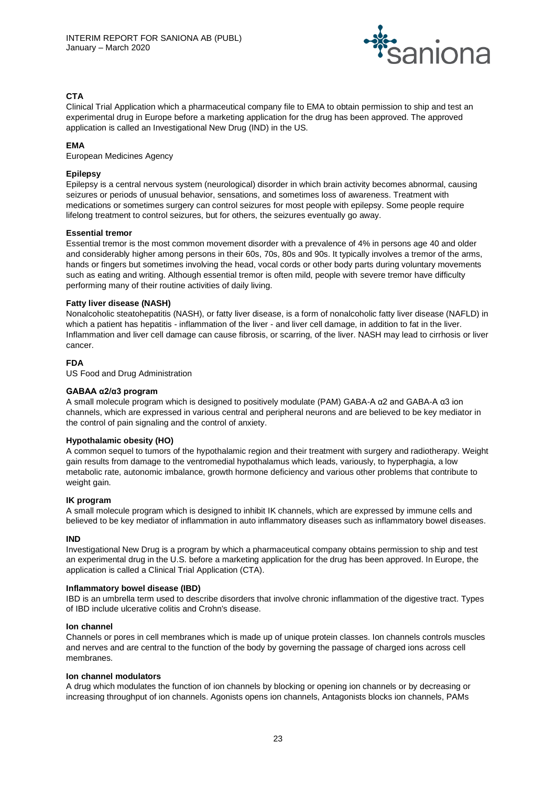

# **CTA**

Clinical Trial Application which a pharmaceutical company file to EMA to obtain permission to ship and test an experimental drug in Europe before a marketing application for the drug has been approved. The approved application is called an Investigational New Drug (IND) in the US.

# **EMA**

European Medicines Agency

# **Epilepsy**

Epilepsy is a central nervous system (neurological) disorder in which brain activity becomes abnormal, causing seizures or periods of unusual behavior, sensations, and sometimes loss of awareness. Treatment with medications or sometimes surgery can control seizures for most people with epilepsy. Some people require lifelong treatment to control seizures, but for others, the seizures eventually go away.

# **Essential tremor**

Essential tremor is the most common movement disorder with a prevalence of 4% in persons age 40 and older and considerably higher among persons in their 60s, 70s, 80s and 90s. It typically involves a tremor of the arms, hands or fingers but sometimes involving the head, vocal cords or other body parts during voluntary movements such as eating and writing. Although essential tremor is often mild, people with severe tremor have difficulty performing many of their routine activities of daily living.

# **Fatty liver disease (NASH)**

Nonalcoholic steatohepatitis (NASH), or fatty liver disease, is a form of nonalcoholic fatty liver disease (NAFLD) in which a patient has hepatitis - inflammation of the liver - and liver cell damage, in addition to fat in the liver. Inflammation and liver cell damage can cause fibrosis, or scarring, of the liver. NASH may lead to cirrhosis or liver cancer.

# **FDA**

US Food and Drug Administration

### **GABAA α2/α3 program**

A small molecule program which is designed to positively modulate (PAM) GABA-A α2 and GABA-A α3 ion channels, which are expressed in various central and peripheral neurons and are believed to be key mediator in the control of pain signaling and the control of anxiety.

# **Hypothalamic obesity (HO)**

A common sequel to tumors of the hypothalamic region and their treatment with surgery and radiotherapy. Weight gain results from damage to the ventromedial hypothalamus which leads, variously, to hyperphagia, a low metabolic rate, autonomic imbalance, growth hormone deficiency and various other problems that contribute to weight gain.

# **IK program**

A small molecule program which is designed to inhibit IK channels, which are expressed by immune cells and believed to be key mediator of inflammation in auto inflammatory diseases such as inflammatory bowel diseases.

#### **IND**

Investigational New Drug is a program by which a pharmaceutical company obtains permission to ship and test an experimental drug in the U.S. before a marketing application for the drug has been approved. In Europe, the application is called a Clinical Trial Application (CTA).

#### **Inflammatory bowel disease (IBD)**

IBD is an umbrella term used to describe disorders that involve chronic inflammation of the digestive tract. Types of IBD include ulcerative colitis and Crohn's disease.

#### **Ion channel**

Channels or pores in cell membranes which is made up of unique protein classes. Ion channels controls muscles and nerves and are central to the function of the body by governing the passage of charged ions across cell membranes.

#### **Ion channel modulators**

A drug which modulates the function of ion channels by blocking or opening ion channels or by decreasing or increasing throughput of ion channels. Agonists opens ion channels, Antagonists blocks ion channels, PAMs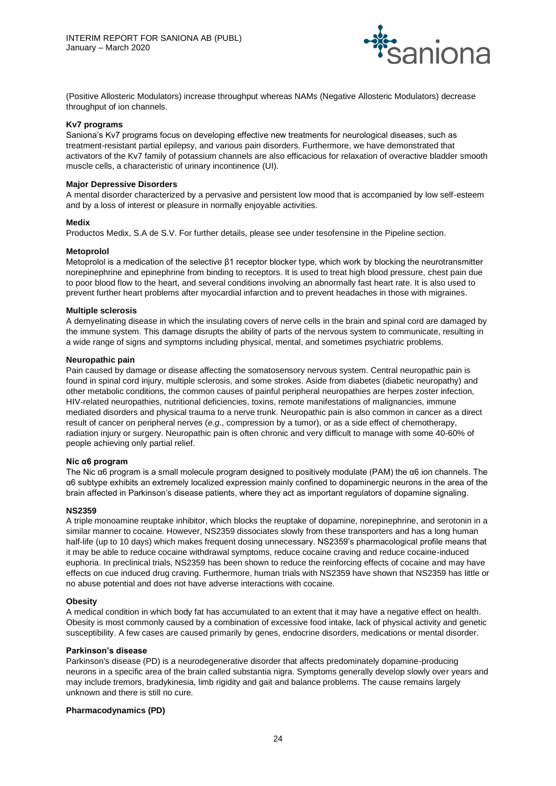

(Positive Allosteric Modulators) increase throughput whereas NAMs (Negative Allosteric Modulators) decrease throughput of ion channels.

#### **Kv7 programs**

Saniona's Kv7 programs focus on developing effective new treatments for neurological diseases, such as treatment-resistant partial epilepsy, and various pain disorders. Furthermore, we have demonstrated that activators of the Kv7 family of potassium channels are also efficacious for relaxation of overactive bladder smooth muscle cells, a characteristic of urinary incontinence (UI).

#### **Major Depressive Disorders**

A mental disorder characterized by a pervasive and persistent low mood that is accompanied by low self-esteem and by a loss of interest or pleasure in normally enjoyable activities.

#### **Medix**

Productos Medix, S.A de S.V. For further details, please see under tesofensine in the Pipeline section.

#### **Metoprolol**

Metoprolol is a medication of the selective β1 receptor blocker type, which work by blocking the neurotransmitter norepinephrine and epinephrine from binding to receptors. It is used to treat high blood pressure, chest pain due to poor blood flow to the heart, and several conditions involving an abnormally fast heart rate. It is also used to prevent further heart problems after myocardial infarction and to prevent headaches in those with migraines.

#### **Multiple sclerosis**

A demyelinating disease in which the insulating covers of nerve cells in the brain and spinal cord are damaged by the immune system. This damage disrupts the ability of parts of the nervous system to communicate, resulting in a wide range of signs and symptoms including physical, mental, and sometimes psychiatric problems.

#### **Neuropathic pain**

Pain caused by damage or disease affecting the somatosensory nervous system. Central neuropathic pain is found in spinal cord injury, multiple sclerosis, and some strokes. Aside from diabetes (diabetic neuropathy) and other metabolic conditions, the common causes of painful peripheral neuropathies are herpes zoster infection, HIV-related neuropathies, nutritional deficiencies, toxins, remote manifestations of malignancies, immune mediated disorders and physical trauma to a nerve trunk. Neuropathic pain is also common in cancer as a direct result of cancer on peripheral nerves (*e.g.*, compression by a tumor), or as a side effect of chemotherapy, radiation injury or surgery. Neuropathic pain is often chronic and very difficult to manage with some 40-60% of people achieving only partial relief.

#### **Nic α6 program**

The Nic α6 program is a small molecule program designed to positively modulate (PAM) the α6 ion channels. The α6 subtype exhibits an extremely localized expression mainly confined to dopaminergic neurons in the area of the brain affected in Parkinson's disease patients, where they act as important regulators of dopamine signaling.

#### **NS2359**

A triple monoamine reuptake inhibitor, which blocks the reuptake of dopamine, norepinephrine, and serotonin in a similar manner to cocaine. However, NS2359 dissociates slowly from these transporters and has a long human half-life (up to 10 days) which makes frequent dosing unnecessary. NS2359's pharmacological profile means that it may be able to reduce cocaine withdrawal symptoms, reduce cocaine craving and reduce cocaine-induced euphoria. In preclinical trials, NS2359 has been shown to reduce the reinforcing effects of cocaine and may have effects on cue induced drug craving. Furthermore, human trials with NS2359 have shown that NS2359 has little or no abuse potential and does not have adverse interactions with cocaine.

#### **Obesity**

A medical condition in which body fat has accumulated to an extent that it may have a negative effect on health. Obesity is most commonly caused by a combination of excessive food intake, lack of physical activity and genetic susceptibility. A few cases are caused primarily by genes, endocrine disorders, medications or mental disorder.

#### **Parkinson's disease**

Parkinson's disease (PD) is a neurodegenerative disorder that affects predominately dopamine-producing neurons in a specific area of the brain called substantia nigra. Symptoms generally develop slowly over years and may include tremors, bradykinesia, limb rigidity and gait and balance problems. The cause remains largely unknown and there is still no cure.

#### **Pharmacodynamics (PD)**